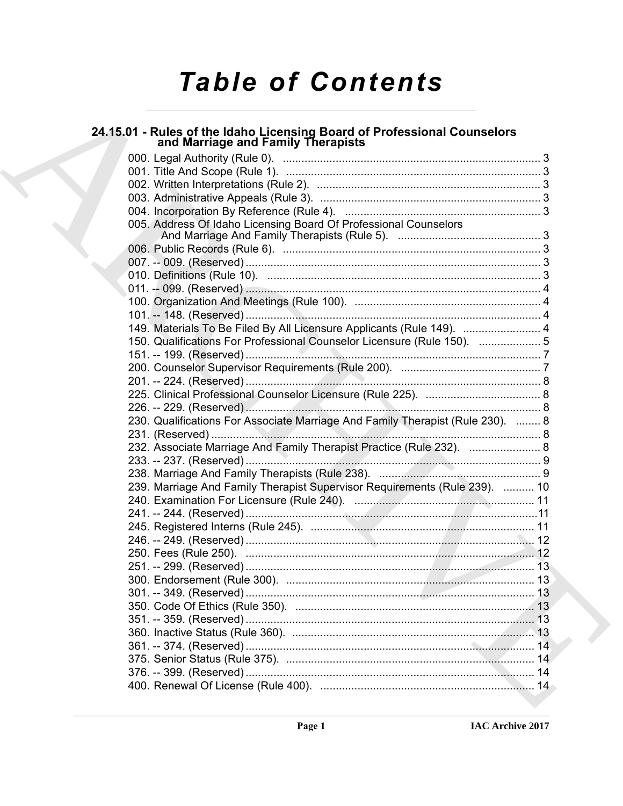# **Table of Contents**

# 24.15.01 - Rules of the Idaho Licensing Board of Professional Counselors<br>and Marriage and Family Therapists

| 005. Address Of Idaho Licensing Board Of Professional Counselors               |  |
|--------------------------------------------------------------------------------|--|
|                                                                                |  |
|                                                                                |  |
|                                                                                |  |
|                                                                                |  |
|                                                                                |  |
|                                                                                |  |
|                                                                                |  |
| 149. Materials To Be Filed By All Licensure Applicants (Rule 149).  4          |  |
| 150. Qualifications For Professional Counselor Licensure (Rule 150).  5        |  |
|                                                                                |  |
|                                                                                |  |
|                                                                                |  |
|                                                                                |  |
|                                                                                |  |
| 230. Qualifications For Associate Marriage And Family Therapist (Rule 230).  8 |  |
|                                                                                |  |
| 232. Associate Marriage And Family Therapist Practice (Rule 232).  8           |  |
|                                                                                |  |
|                                                                                |  |
| 239. Marriage And Family Therapist Supervisor Requirements (Rule 239).  10     |  |
|                                                                                |  |
|                                                                                |  |
|                                                                                |  |
|                                                                                |  |
|                                                                                |  |
|                                                                                |  |
|                                                                                |  |
|                                                                                |  |
|                                                                                |  |
|                                                                                |  |
|                                                                                |  |
|                                                                                |  |
|                                                                                |  |
|                                                                                |  |
|                                                                                |  |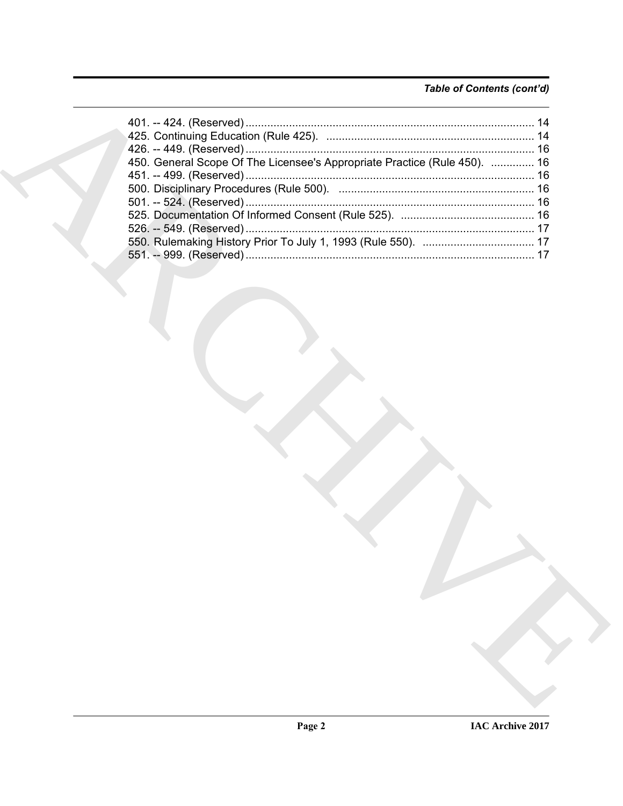# Table of Contents (cont'd)

| 450. General Scope Of The Licensee's Appropriate Practice (Rule 450).  16 |  |
|---------------------------------------------------------------------------|--|
|                                                                           |  |
|                                                                           |  |
|                                                                           |  |
|                                                                           |  |
|                                                                           |  |
|                                                                           |  |
|                                                                           |  |
|                                                                           |  |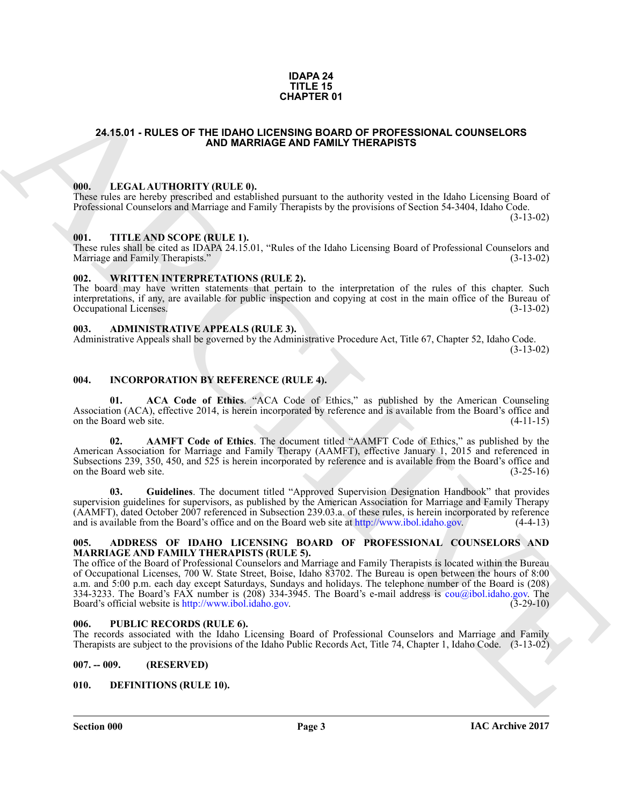#### **IDAPA 24 TITLE 15 CHAPTER 01**

# <span id="page-2-0"></span>**24.15.01 - RULES OF THE IDAHO LICENSING BOARD OF PROFESSIONAL COUNSELORS AND MARRIAGE AND FAMILY THERAPISTS**

#### <span id="page-2-1"></span>**000. LEGAL AUTHORITY (RULE 0).**

These rules are hereby prescribed and established pursuant to the authority vested in the Idaho Licensing Board of Professional Counselors and Marriage and Family Therapists by the provisions of Section 54-3404, Idaho Code. (3-13-02)

#### <span id="page-2-2"></span>**001. TITLE AND SCOPE (RULE 1).**

These rules shall be cited as IDAPA 24.15.01, "Rules of the Idaho Licensing Board of Professional Counselors and Marriage and Family Therapists." (3-13-02) Marriage and Family Therapists."

## <span id="page-2-3"></span>**002. WRITTEN INTERPRETATIONS (RULE 2).**

The board may have written statements that pertain to the interpretation of the rules of this chapter. Such interpretations, if any, are available for public inspection and copying at cost in the main office of the Bureau of Occupational Licenses. (3-13-02) Occupational Licenses.

#### <span id="page-2-4"></span>**003. ADMINISTRATIVE APPEALS (RULE 3).**

Administrative Appeals shall be governed by the Administrative Procedure Act, Title 67, Chapter 52, Idaho Code. (3-13-02)

### <span id="page-2-5"></span>**004. INCORPORATION BY REFERENCE (RULE 4).**

**ACA Code of Ethics.** "ACA Code of Ethics," as published by the American Counseling Association (ACA), effective 2014, is herein incorporated by reference and is available from the Board's office and on the Board web site. (4-11-15)

**02. AAMFT Code of Ethics**. The document titled "AAMFT Code of Ethics," as published by the American Association for Marriage and Family Therapy (AAMFT), effective January 1, 2015 and referenced in Subsections 239, 350, 450, and 525 is herein incorporated by reference and is available from the Board's office and on the Board web site. (3-25-16) on the Board web site.

**03. Guidelines**. The document titled "Approved Supervision Designation Handbook" that provides supervision guidelines for supervisors, as published by the American Association for Marriage and Family Therapy (AAMFT), dated October 2007 referenced in Subsection 239.03.a. of these rules, is herein incorporated by reference and is available from the Board's office and on the Board web site at http://www.ibol.idaho.gov. (4-4-13)

#### <span id="page-2-6"></span>**005. ADDRESS OF IDAHO LICENSING BOARD OF PROFESSIONAL COUNSELORS AND MARRIAGE AND FAMILY THERAPISTS (RULE 5).**

**CHAPTER OF**<br>
24.15.01 - RULES OF THE DAHO D[I](http://www.ibol.idaho.gov)CHORMOR BARROR COURSE OPERATION COUNSELORS<br>
100. IF.C.A.I. ALTHORITY (RIILS. 6).<br>
100. IF.C.A.I. ALTHORITY (RIILS. 6).<br>
100. IF.C.A.I. ALTHORITY (RIILS. 6).<br>
100. IF.C.A.I. ALT The office of the Board of Professional Counselors and Marriage and Family Therapists is located within the Bureau of Occupational Licenses, 700 W. State Street, Boise, Idaho 83702. The Bureau is open between the hours of 8:00 a.m. and 5:00 p.m. each day except Saturdays, Sundays and holidays. The telephone number of the Board is (208) 334-3233. The Board's FAX number is (208) 334-3945. The Board's e-mail address is cou@ibol.idaho.gov. The Board's official website is http://www.ibol.idaho.gov. (3-29-10) Board's official website is http://www.ibol.idaho.gov.

#### <span id="page-2-7"></span>**006. PUBLIC RECORDS (RULE 6).**

The records associated with the Idaho Licensing Board of Professional Counselors and Marriage and Family Therapists are subject to the provisions of the Idaho Public Records Act, Title 74, Chapter 1, Idaho Code. (3-13-02)

#### <span id="page-2-8"></span>**007. -- 009. (RESERVED)**

#### <span id="page-2-10"></span><span id="page-2-9"></span>**010. DEFINITIONS (RULE 10).**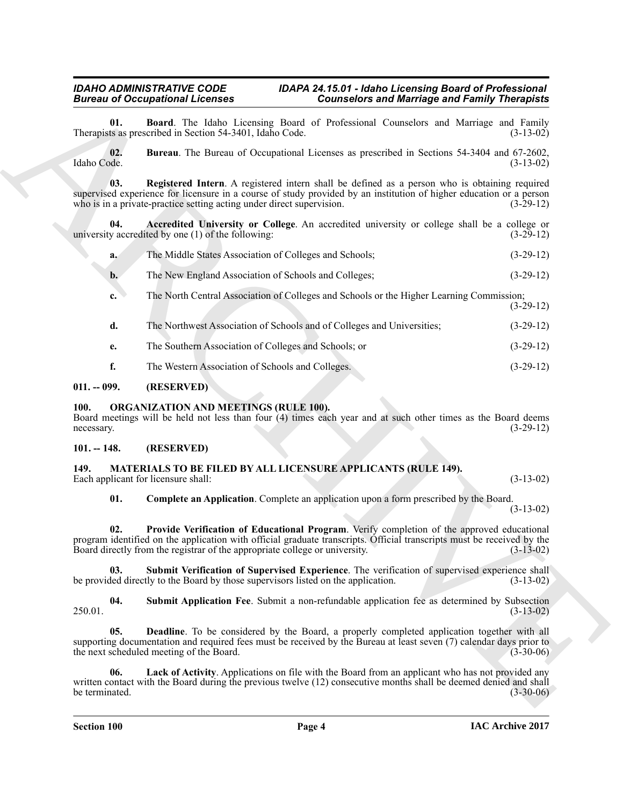<span id="page-3-5"></span>**01. Board**. The Idaho Licensing Board of Professional Counselors and Marriage and Family Therapists as prescribed in Section 54-3401, Idaho Code.

<span id="page-3-7"></span><span id="page-3-6"></span>**02. Bureau**. The Bureau of Occupational Licenses as prescribed in Sections 54-3404 and 67-2602, Idaho Code. (3-13-02)

Bureau III. Complete an Architecture Connection of Sometical State of Newslette State Connection of South Connection of Newslette State Connection of State Connection of State Connection of Newslette State Connection of S **03. Registered Intern**. A registered intern shall be defined as a person who is obtaining required supervised experience for licensure in a course of study provided by an institution of higher education or a person<br>who is in a private-practice setting acting under direct supervision. (3-29-12) who is in a private-practice setting acting under direct supervision.

**04. Accredited University or College**. An accredited university or college shall be a college or y accredited by one (1) of the following: (3-29-12) university accredited by one  $(1)$  of the following:

<span id="page-3-4"></span>

| а. | The Middle States Association of Colleges and Schools; | $(3-29-12)$ |
|----|--------------------------------------------------------|-------------|
|----|--------------------------------------------------------|-------------|

- **b.** The New England Association of Schools and Colleges; (3-29-12)
- **c.** The North Central Association of Colleges and Schools or the Higher Learning Commission; (3-29-12)
- **d.** The Northwest Association of Schools and of Colleges and Universities; (3-29-12)
- **e.** The Southern Association of Colleges and Schools; or (3-29-12)
- <span id="page-3-15"></span>**f.** The Western Association of Schools and Colleges. (3-29-12)

# <span id="page-3-0"></span>**011. -- 099. (RESERVED)**

# <span id="page-3-1"></span>**100. ORGANIZATION AND MEETINGS (RULE 100).**

Board meetings will be held not less than four (4) times each year and at such other times as the Board deems necessary. (3-29-12) necessary. (3-29-12)

# <span id="page-3-8"></span><span id="page-3-2"></span>**101. -- 148. (RESERVED)**

#### <span id="page-3-3"></span>**149. MATERIALS TO BE FILED BY ALL LICENSURE APPLICANTS (RULE 149).** Each applicant for licensure shall: (3-13-02) (3-13-02)

<span id="page-3-12"></span><span id="page-3-9"></span>**01. Complete an Application**. Complete an application upon a form prescribed by the Board.

(3-13-02)

**02. Provide Verification of Educational Program**. Verify completion of the approved educational program identified on the application with official graduate transcripts. Official transcripts must be received by the Board directly from the registrar of the appropriate college or university. (3-13-02)

<span id="page-3-14"></span>**03. Submit Verification of Supervised Experience**. The verification of supervised experience shall ded directly to the Board by those supervisors listed on the application. (3-13-02) be provided directly to the Board by those supervisors listed on the application.

<span id="page-3-13"></span>**04.** Submit Application Fee. Submit a non-refundable application fee as determined by Subsection (3-13-02) 250.01. (3-13-02)

<span id="page-3-10"></span>**05. Deadline**. To be considered by the Board, a properly completed application together with all supporting documentation and required fees must be received by the Bureau at least seven (7) calendar days prior to the next scheduled meeting of the Board. (3-30-06) the next scheduled meeting of the Board.

<span id="page-3-11"></span>**06. Lack of Activity**. Applications on file with the Board from an applicant who has not provided any written contact with the Board during the previous twelve (12) consecutive months shall be deemed denied and shall<br>(3-30-06) be terminated.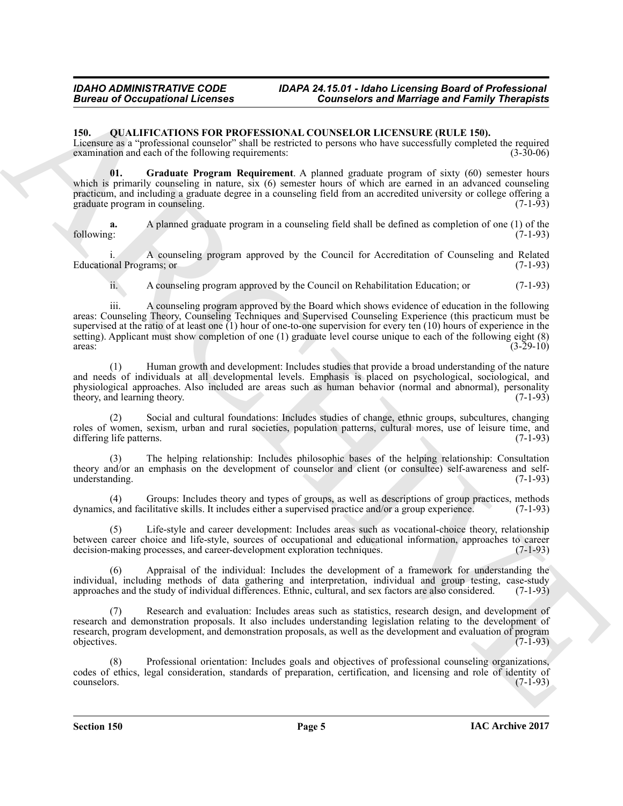### <span id="page-4-1"></span><span id="page-4-0"></span>**150. QUALIFICATIONS FOR PROFESSIONAL COUNSELOR LICENSURE (RULE 150).**

Licensure as a "professional counselor" shall be restricted to persons who have successfully completed the required examination and each of the following requirements: (3-30-06) examination and each of the following requirements:

<span id="page-4-2"></span>**01. Graduate Program Requirement**. A planned graduate program of sixty (60) semester hours which is primarily counseling in nature, six (6) semester hours of which are earned in an advanced counseling practicum, and including a graduate degree in a counseling field from an accredited university or college offering a graduate program in counseling.

**a.** A planned graduate program in a counseling field shall be defined as completion of one (1) of the following:  $(7-1-93)$ following: (7-1-93)

i. A counseling program approved by the Council for Accreditation of Counseling and Related Educational Programs; or (7-1-93)

ii. A counseling program approved by the Council on Rehabilitation Education; or (7-1-93)

**Eurosis of Occupations I. Forming Counselors and Marriage and Family Theoretics<br>
150. OULLIFICATIONS TOWARD CONSISTON COUNSEL DELEVANT (EQUILIFIED)<br>
Theoretics are professional consister with the vertex section in presen** iii. A counseling program approved by the Board which shows evidence of education in the following areas: Counseling Theory, Counseling Techniques and Supervised Counseling Experience (this practicum must be supervised at the ratio of at least one  $(1)$  hour of one-to-one supervision for every ten  $(10)$  hours of experience in the setting). Applicant must show completion of one (1) graduate level course unique to each of the following eight (8) areas: (3-29-10)  $\frac{1}{3-29-10}$  (3-29-10)

(1) Human growth and development: Includes studies that provide a broad understanding of the nature and needs of individuals at all developmental levels. Emphasis is placed on psychological, sociological, and physiological approaches. Also included are areas such as human behavior (normal and abnormal), personality theory, and learning theory. theory, and learning theory.

(2) Social and cultural foundations: Includes studies of change, ethnic groups, subcultures, changing roles of women, sexism, urban and rural societies, population patterns, cultural mores, use of leisure time, and differing life patterns. (7-1-93) differing life patterns.

(3) The helping relationship: Includes philosophic bases of the helping relationship: Consultation theory and/or an emphasis on the development of counselor and client (or consultee) self-awareness and self-<br>understanding. (7-1-93) understanding.

(4) Groups: Includes theory and types of groups, as well as descriptions of group practices, methods dynamics, and facilitative skills. It includes either a supervised practice and/or a group experience. (7-1-93)

Life-style and career development: Includes areas such as vocational-choice theory, relationship between career choice and life-style, sources of occupational and educational information, approaches to career decision-making processes, and career-development exploration techniques. (7-1-93)

Appraisal of the individual: Includes the development of a framework for understanding the individual, including methods of data gathering and interpretation, individual and group testing, case-study approaches and the study of individual differences. Ethnic, cultural, and sex factors are also considered. (7-1-9 approaches and the study of individual differences. Ethnic, cultural, and sex factors are also considered.

(7) Research and evaluation: Includes areas such as statistics, research design, and development of research and demonstration proposals. It also includes understanding legislation relating to the development of research, program development, and demonstration proposals, as well as the development and evaluation of program objectives. (7-1-93)

Professional orientation: Includes goals and objectives of professional counseling organizations, codes of ethics, legal consideration, standards of preparation, certification, and licensing and role of identity of counselors. (7-1-93)  $\epsilon$  counselors. (7-1-93)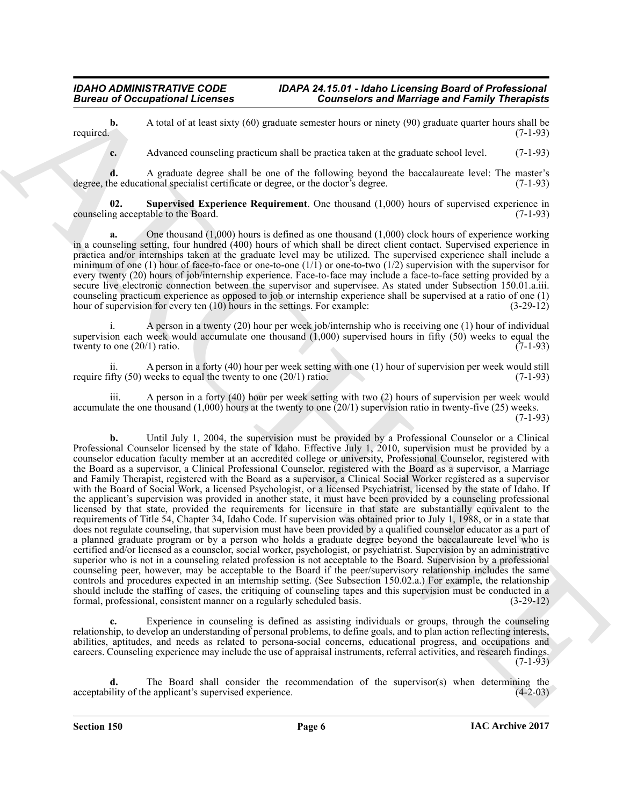**b.** A total of at least sixty (60) graduate semester hours or ninety (90) graduate quarter hours shall be (7-1-93) required.  $(7-1-93)$ 

<span id="page-5-0"></span>**c.** Advanced counseling practicum shall be practica taken at the graduate school level. (7-1-93)

**d.** A graduate degree shall be one of the following beyond the baccalaureate level: The master's he educational specialist certificate or degree, or the doctor's degree. (7-1-93) degree, the educational specialist certificate or degree, or the doctor's degree.

**02. Supervised Experience Requirement**. One thousand (1,000) hours of supervised experience in counseling acceptable to the Board. (7-1-93)

**a.** One thousand (1,000) hours is defined as one thousand (1,000) clock hours of experience working in a counseling setting, four hundred (400) hours of which shall be direct client contact. Supervised experience in practica and/or internships taken at the graduate level may be utilized. The supervised experience shall include a minimum of one (1) hour of face-to-face or one-to-one  $(1/1)$  or one-to-two  $(1/2)$  supervision with the supervisor for every twenty (20) hours of job/internship experience. Face-to-face may include a face-to-face setting provided by a secure live electronic connection between the supervisor and supervisee. As stated under Subsection 150.01.a.iii. counseling practicum experience as opposed to job or internship experience shall be supervised at a ratio of one (1) hour of supervision for every ten (10) hours in the settings. For example: (3-29-12)

i. A person in a twenty (20) hour per week job/internship who is receiving one (1) hour of individual supervision each week would accumulate one thousand  $(1,000)$  supervised hours in fifty  $(50)$  weeks to equal the twenty to one  $(20/1)$  ratio. twenty to one  $(20/1)$  ratio.

ii. A person in a forty (40) hour per week setting with one (1) hour of supervision per week would still fity (50) weeks to equal the twenty to one (20/1) ratio. require fifty  $(50)$  weeks to equal the twenty to one  $(20/1)$  ratio.

iii. A person in a forty (40) hour per week setting with two (2) hours of supervision per week would accumulate the one thousand  $(1,000)$  hours at the twenty to one  $(20/1)$  supervision ratio in twenty-five  $(25)$  weeks.  $(7-1-93)$ 

**Example of the set of the set of the set of the set of the set of the set of the set of the set of the set of the set of the set of the set of the set of the set of the set of the set of the set of the set of the set of b.** Until July 1, 2004, the supervision must be provided by a Professional Counselor or a Clinical Professional Counselor licensed by the state of Idaho. Effective July 1, 2010, supervision must be provided by a counselor education faculty member at an accredited college or university, Professional Counselor, registered with the Board as a supervisor, a Clinical Professional Counselor, registered with the Board as a supervisor, a Marriage and Family Therapist, registered with the Board as a supervisor, a Clinical Social Worker registered as a supervisor with the Board of Social Work, a licensed Psychologist, or a licensed Psychiatrist, licensed by the state of Idaho. If the applicant's supervision was provided in another state, it must have been provided by a counseling professional licensed by that state, provided the requirements for licensure in that state are substantially equivalent to the requirements of Title 54, Chapter 34, Idaho Code. If supervision was obtained prior to July 1, 1988, or in a state that does not regulate counseling, that supervision must have been provided by a qualified counselor educator as a part of a planned graduate program or by a person who holds a graduate degree beyond the baccalaureate level who is certified and/or licensed as a counselor, social worker, psychologist, or psychiatrist. Supervision by an administrative superior who is not in a counseling related profession is not acceptable to the Board. Supervision by a professional counseling peer, however, may be acceptable to the Board if the peer/supervisory relationship includes the same controls and procedures expected in an internship setting. (See Subsection 150.02.a.) For example, the relationship should include the staffing of cases, the critiquing of counseling tapes and this supervision must be conducted in a formal, professional, consistent manner on a regularly scheduled basis. (3-29-12)

Experience in counseling is defined as assisting individuals or groups, through the counseling relationship, to develop an understanding of personal problems, to define goals, and to plan action reflecting interests, abilities, aptitudes, and needs as related to persona-social concerns, educational progress, and occupations and careers. Counseling experience may include the use of appraisal instruments, referral activities, and research findings.  $(7-1-93)$ 

The Board shall consider the recommendation of the supervisor(s) when determining the e applicant's supervised experience. (4-2-03) acceptability of the applicant's supervised experience.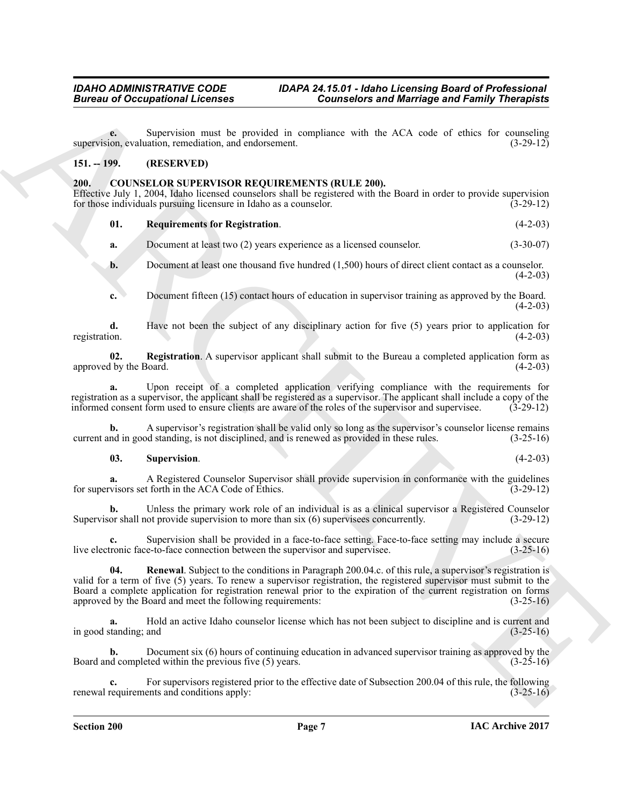**e.** Supervision must be provided in compliance with the ACA code of ethics for counseling on evaluation, remediation, and endorsement. (3-29-12) supervision, evaluation, remediation, and endorsement.

# <span id="page-6-0"></span>**151. -- 199. (RESERVED)**

# <span id="page-6-2"></span><span id="page-6-1"></span>**200. COUNSELOR SUPERVISOR REQUIREMENTS (RULE 200).**

Effective July 1, 2004, Idaho licensed counselors shall be registered with the Board in order to provide supervision for those individuals pursuing licensure in Idaho as a counselor. (3-29-12) for those individuals pursuing licensure in Idaho as a counselor.

# <span id="page-6-5"></span>**01. Requirements for Registration**. (4-2-03)

**a.** Document at least two (2) years experience as a licensed counselor. (3-30-07)

- **b.** Document at least one thousand five hundred (1,500) hours of direct client contact as a counselor.  $(4-2-03)$
- <span id="page-6-3"></span>**c.** Document fifteen (15) contact hours of education in supervisor training as approved by the Board.  $(4-2-03)$

**d.** Have not been the subject of any disciplinary action for five (5) years prior to application for registration.  $(4-2-03)$ registration. (4-2-03)

**02. Registration**. A supervisor applicant shall submit to the Bureau a completed application form as approved by the Board. (4-2-03)

**a.** Upon receipt of a completed application verifying compliance with the requirements for registration as a supervisor, the applicant shall be registered as a supervisor. The applicant shall include a copy of the informed consent form used to ensure clients are aware of the roles of the supervisor and supervisee. (3-29-12)

**b.** A supervisor's registration shall be valid only so long as the supervisor's counselor license remains nd in good standing, is not disciplined, and is renewed as provided in these rules.  $(3-25-16)$ current and in good standing, is not disciplined, and is renewed as provided in these rules.

# <span id="page-6-6"></span>**03. Supervision**. (4-2-03)

**a.** A Registered Counselor Supervisor shall provide supervision in conformance with the guidelines visors set forth in the ACA Code of Ethics. (3-29-12) for supervisors set forth in the ACA Code of Ethics.

Unless the primary work role of an individual is as a clinical supervisor a Registered Counselor of provide supervision to more than six (6) supervises concurrently. (3-29-12) Supervisor shall not provide supervision to more than  $six$  (6) supervisees concurrently.

<span id="page-6-4"></span>**c.** Supervision shall be provided in a face-to-face setting. Face-to-face setting may include a secure live electronic face-to-face connection between the supervisor and supervisee. (3-25-16)

**Example 20** Conceptions **Conneisher and Marriage and Marriage and Family Theoretics**<br>
Survey and main to provide a complete start definition of the start of the start of the start of the start of the start of the start o **04. Renewal**. Subject to the conditions in Paragraph 200.04.c. of this rule, a supervisor's registration is valid for a term of five (5) years. To renew a supervisor registration, the registered supervisor must submit to the Board a complete application for registration renewal prior to the expiration of the current registration on forms approved by the Board and meet the following requirements: (3-25-16)

**a.** Hold an active Idaho counselor license which has not been subject to discipline and is current and tanding; and (3-25-16) in good standing; and

**b.** Document six (6) hours of continuing education in advanced supervisor training as approved by the d completed within the previous five (5) years. (3-25-16) Board and completed within the previous five  $(5)$  years.

For supervisors registered prior to the effective date of Subsection 200.04 of this rule, the following ents and conditions apply:  $(3-25-16)$ renewal requirements and conditions apply: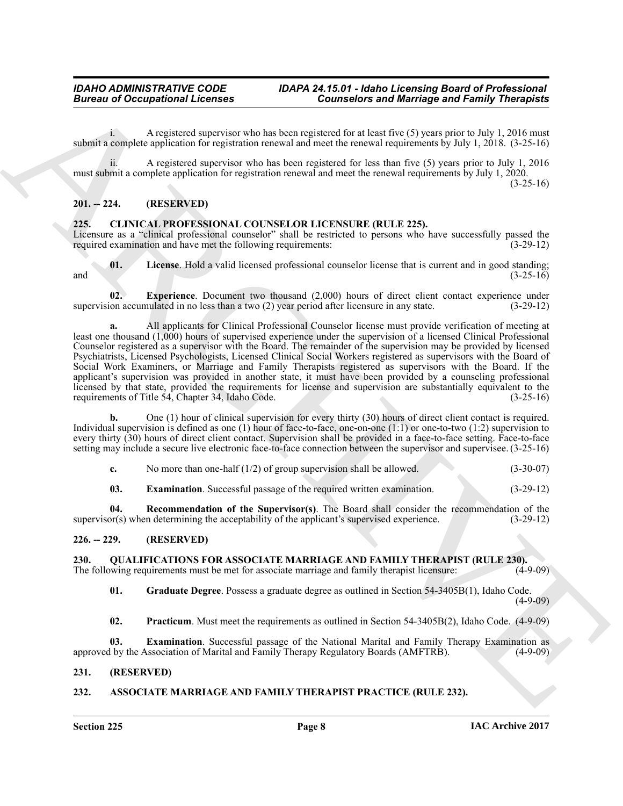i. A registered supervisor who has been registered for at least five (5) years prior to July 1, 2016 must submit a complete application for registration renewal and meet the renewal requirements by July 1, 2018. (3-25-16)

ii. A registered supervisor who has been registered for less than five (5) years prior to July 1, 2016 must submit a complete application for registration renewal and meet the renewal requirements by July 1, 2020.  $(3-25-16)$ 

# <span id="page-7-0"></span>**201. -- 224. (RESERVED)**

#### <span id="page-7-7"></span><span id="page-7-1"></span>**225. CLINICAL PROFESSIONAL COUNSELOR LICENSURE (RULE 225).**

Licensure as a "clinical professional counselor" shall be restricted to persons who have successfully passed the required examination and have met the following requirements: (3-29-12) required examination and have met the following requirements:

<span id="page-7-10"></span>**01.** License. Hold a valid licensed professional counselor license that is current and in good standing; (3-25-16) and  $(3-25-16)$ 

<span id="page-7-9"></span>**02. Experience**. Document two thousand (2,000) hours of direct client contact experience under supervision accumulated in no less than a two (2) year period after licensure in any state. (3-29-12)

**Europea of Occupations I**. Connected with the three interests and Marriago and Family Theoretical<br>
when  $A$ Chives a connected surface that the connected is the theoretical based of the summation of the transformation of **a.** All applicants for Clinical Professional Counselor license must provide verification of meeting at least one thousand (1,000) hours of supervised experience under the supervision of a licensed Clinical Professional Counselor registered as a supervisor with the Board. The remainder of the supervision may be provided by licensed Psychiatrists, Licensed Psychologists, Licensed Clinical Social Workers registered as supervisors with the Board of Social Work Examiners, or Marriage and Family Therapists registered as supervisors with the Board. If the applicant's supervision was provided in another state, it must have been provided by a counseling professional licensed by that state, provided the requirements for license and supervision are substantially equivalent to the requirements of Title 54. Chapter 34. Idaho Code. (3-25-16) requirements of Title 54, Chapter 34, Idaho Code.

**b.** One (1) hour of clinical supervision for every thirty (30) hours of direct client contact is required. Individual supervision is defined as one (1) hour of face-to-face, one-on-one (1:1) or one-to-two (1:2) supervision to every thirty (30) hours of direct client contact. Supervision shall be provided in a face-to-face setting. Face-to-face setting may include a secure live electronic face-to-face connection between the supervisor and supervisee. (3-25-16)

<span id="page-7-8"></span>**c.** No more than one-half (1/2) of group supervision shall be allowed. (3-30-07)

<span id="page-7-11"></span>**03. Examination**. Successful passage of the required written examination. (3-29-12)

**04. Recommendation of the Supervisor(s)**. The Board shall consider the recommendation of the or(s) when determining the acceptability of the applicant's supervised experience. (3-29-12)  $supervisor(s)$  when determining the acceptability of the applicant's supervised experience.

#### <span id="page-7-2"></span>**226. -- 229. (RESERVED)**

<span id="page-7-12"></span><span id="page-7-3"></span>**230.** QUALIFICATIONS FOR ASSOCIATE MARRIAGE AND FAMILY THERAPIST (RULE 230).<br>The following requirements must be met for associate marriage and family therapist licensure: (4-9-09) The following requirements must be met for associate marriage and family therapist licensure:

<span id="page-7-14"></span>**01. Graduate Degree**. Possess a graduate degree as outlined in Section 54-3405B(1), Idaho Code.  $(4-9-09)$ 

<span id="page-7-15"></span><span id="page-7-13"></span>**02. Practicum**. Must meet the requirements as outlined in Section 54-3405B(2), Idaho Code. (4-9-09)

**03. Examination**. Successful passage of the National Marital and Family Therapy Examination as <br>1 by the Association of Marital and Family Therapy Regulatory Boards (AMFTRB). (4-9-09) approved by the Association of Marital and Family Therapy Regulatory Boards (AMFTRB).

# <span id="page-7-4"></span>**231. (RESERVED)**

#### <span id="page-7-6"></span><span id="page-7-5"></span>**232. ASSOCIATE MARRIAGE AND FAMILY THERAPIST PRACTICE (RULE 232).**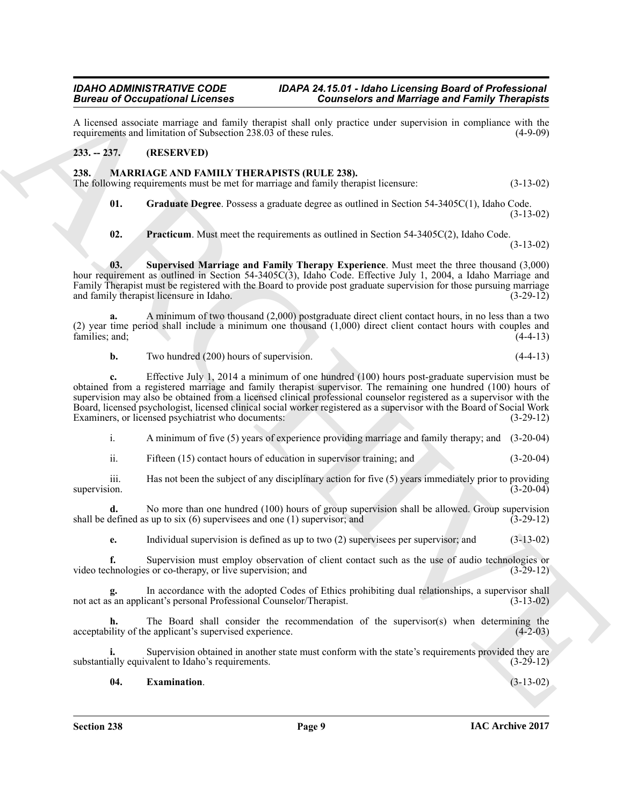A licensed associate marriage and family therapist shall only practice under supervision in compliance with the requirements and limitation of Subsection 238.03 of these rules. (4-9-09) requirements and limitation of Subsection 238.03 of these rules.

# <span id="page-8-0"></span>**233. -- 237. (RESERVED)**

# <span id="page-8-2"></span><span id="page-8-1"></span>**238. MARRIAGE AND FAMILY THERAPISTS (RULE 238).**

The following requirements must be met for marriage and family therapist licensure: (3-13-02)

<span id="page-8-4"></span>**01. Graduate Degree**. Possess a graduate degree as outlined in Section 54-3405C(1), Idaho Code. (3-13-02)

<span id="page-8-6"></span><span id="page-8-5"></span>**02. Practicum**. Must meet the requirements as outlined in Section 54-3405C(2), Idaho Code. (3-13-02)

**03. Supervised Marriage and Family Therapy Experience**. Must meet the three thousand (3,000) hour requirement as outlined in Section 54-3405C(3), Idaho Code. Effective July 1, 2004, a Idaho Marriage and Family Therapist must be registered with the Board to provide post graduate supervision for those pursuing marriage and family therapist licensure in Idaho. and family therapist licensure in Idaho.

**a.** A minimum of two thousand (2,000) postgraduate direct client contact hours, in no less than a two (2) year time period shall include a minimum one thousand (1,000) direct client contact hours with couples and families; and;

**b.** Two hundred (200) hours of supervision. (4-4-13)

**Branch of Comparison Licenses**<br>
A learned absorption Licenses and Equation 25.03 of Gouvestors and Marriago and Family Theoretical<br>
A learned absorption causes and Equation 25.05 of Gouvestors cause agreement is computed **c.** Effective July 1, 2014 a minimum of one hundred (100) hours post-graduate supervision must be obtained from a registered marriage and family therapist supervisor. The remaining one hundred (100) hours of supervision may also be obtained from a licensed clinical professional counselor registered as a supervisor with the Board, licensed psychologist, licensed clinical social worker registered as a supervisor with the Board of Social Work Examiners, or licensed psychiatrist who documents:

i. A minimum of five (5) years of experience providing marriage and family therapy; and (3-20-04)

ii. Fifteen (15) contact hours of education in supervisor training; and (3-20-04)

iii. Has not been the subject of any disciplinary action for five (5) years immediately prior to providing supervision.  $(3-20-04)$ 

**d.** No more than one hundred (100) hours of group supervision shall be allowed. Group supervision defined as up to six (6) supervisees and one (1) supervisor; and  $(3-29-12)$ shall be defined as up to six  $(6)$  supervisees and one  $(1)$  supervisor; and

**e.** Individual supervision is defined as up to two (2) supervisees per supervisor; and (3-13-02)

**f.** Supervision must employ observation of client contact such as the use of audio technologies or co-therapy, or live supervision; and (3-29-12) video technologies or co-therapy, or live supervision; and

**g.** In accordance with the adopted Codes of Ethics prohibiting dual relationships, a supervisor shall not act as an applicant's personal Professional Counselor/Therapist. (3-13-02)

**h.** The Board shall consider the recommendation of the supervisor(s) when determining the ility of the applicant's supervised experience. (4-2-03) acceptability of the applicant's supervised experience.

**i.** Supervision obtained in another state must conform with the state's requirements provided they are substantially equivalent to Idaho's requirements. (3-29-12)

#### <span id="page-8-3"></span>**04. Examination**. (3-13-02)

**IAC Archive 2017**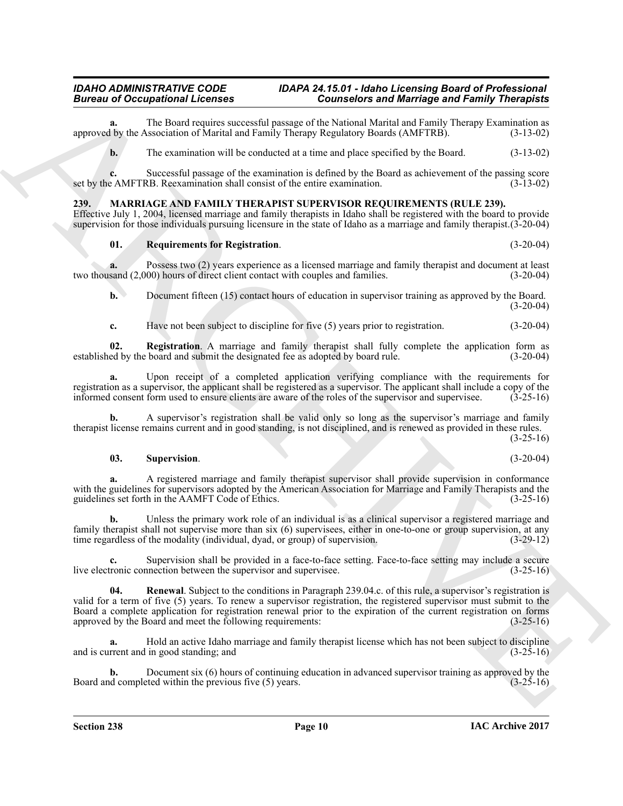**a.** The Board requires successful passage of the National Marital and Family Therapy Examination as approved by the Association of Marital and Family Therapy Regulatory Boards (AMFTRB).

**b.** The examination will be conducted at a time and place specified by the Board.  $(3-13-02)$ 

**c.** Successful passage of the examination is defined by the Board as achievement of the passing score set by the AMFTRB. Reexamination shall consist of the entire examination.

# <span id="page-9-1"></span><span id="page-9-0"></span>**239. MARRIAGE AND FAMILY THERAPIST SUPERVISOR REQUIREMENTS (RULE 239).**

Effective July 1, 2004, licensed marriage and family therapists in Idaho shall be registered with the board to provide supervision for those individuals pursuing licensure in the state of Idaho as a marriage and family therapist.(3-20-04)

# <span id="page-9-3"></span>**01. Requirements for Registration**. (3-20-04)

**a.** Possess two (2) years experience as a licensed marriage and family therapist and document at least sand (2.000) hours of direct client contact with couples and families. (3-20-04) two thousand  $(2,000)$  hours of direct client contact with couples and families.

**b.** Document fifteen (15) contact hours of education in supervisor training as approved by the Board.  $(3-20-04)$ 

<span id="page-9-2"></span>**c.** Have not been subject to discipline for five (5) years prior to registration.  $(3-20-04)$ 

**02.** Registration. A marriage and family therapist shall fully complete the application form as ed by the board and submit the designated fee as adopted by board rule. (3-20-04) established by the board and submit the designated fee as adopted by board rule.

**a.** Upon receipt of a completed application verifying compliance with the requirements for registration as a supervisor, the applicant shall be registered as a supervisor. The applicant shall include a copy of the informed consent form used to ensure clients are aware of the roles of the supervisor and supervise informed consent form used to ensure clients are aware of the roles of the supervisor and supervisee.

**b.** A supervisor's registration shall be valid only so long as the supervisor's marriage and family therapist license remains current and in good standing, is not disciplined, and is renewed as provided in these rules.  $(3-25-16)$ 

#### <span id="page-9-4"></span>**03. Supervision**. (3-20-04)

**a.** A registered marriage and family therapist supervisor shall provide supervision in conformance with the guidelines for supervisors adopted by the American Association for Marriage and Family Therapists and the guidelines set forth in the AAMFT Code of Ethics. (3-25-16) guidelines set forth in the AAMFT Code of Ethics.

**b.** Unless the primary work role of an individual is as a clinical supervisor a registered marriage and family therapist shall not supervise more than six (6) supervisees, either in one-to-one or group supervision, at any time regardless of the modality (individual, dvad, or group) of supervision. time regardless of the modality (individual, dyad, or group) of supervision.

<span id="page-9-5"></span>**c.** Supervision shall be provided in a face-to-face setting. Face-to-face setting may include a secure tronic connection between the supervisor and supervisee. (3-25-16) live electronic connection between the supervisor and supervisee.

Bureau of Occupation at Leonors 1 Connection and Marchives and Marchives and Financial Connection and Archives and Marchives and Archives and Archives and Archives and Archives and Archives and Archives and Archives and A **04. Renewal**. Subject to the conditions in Paragraph 239.04.c. of this rule, a supervisor's registration is valid for a term of five (5) years. To renew a supervisor registration, the registered supervisor must submit to the Board a complete application for registration renewal prior to the expiration of the current registration on forms approved by the Board and meet the following requirements: (3-25-16) approved by the Board and meet the following requirements:

Hold an active Idaho marriage and family therapist license which has not been subject to discipline in good standing; and  $(3-25-16)$ and is current and in good standing; and

**b.** Document six (6) hours of continuing education in advanced supervisor training as approved by the d completed within the previous five (5) years.  $(3-25-16)$ Board and completed within the previous five  $(5)$  years.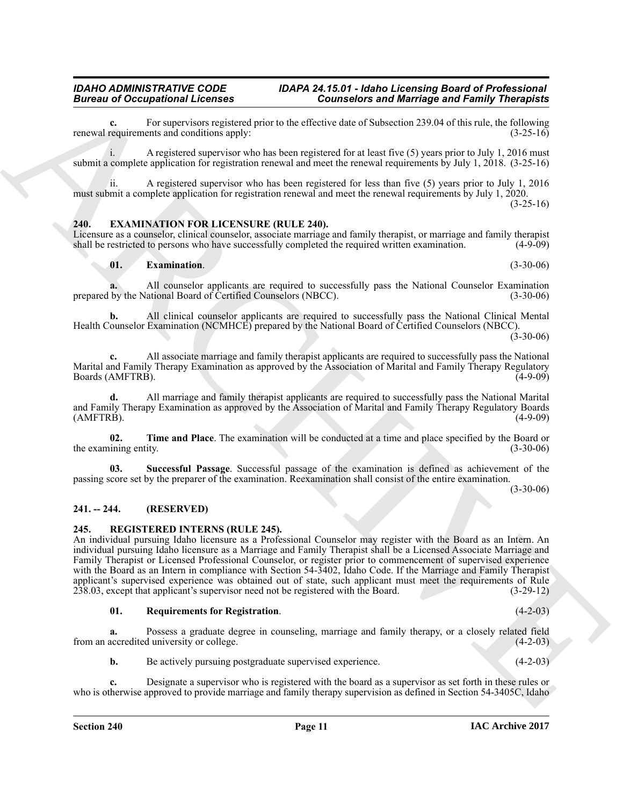**c.** For supervisors registered prior to the effective date of Subsection 239.04 of this rule, the following requirements and conditions apply:  $(3-25-16)$ renewal requirements and conditions apply:

i. A registered supervisor who has been registered for at least five (5) years prior to July 1, 2016 must submit a complete application for registration renewal and meet the renewal requirements by July 1, 2018. (3-25-16)

ii. A registered supervisor who has been registered for less than five (5) years prior to July 1, 2016 must submit a complete application for registration renewal and meet the renewal requirements by July 1, 2020.

# $(3-25-16)$

#### <span id="page-10-3"></span><span id="page-10-0"></span>**240. EXAMINATION FOR LICENSURE (RULE 240).**

Licensure as a counselor, clinical counselor, associate marriage and family therapist, or marriage and family therapist shall be restricted to persons who have successfully completed the required written examination. (4-9shall be restricted to persons who have successfully completed the required written examination.

#### <span id="page-10-4"></span>**01. Examination**. (3-30-06)

**a.** All counselor applicants are required to successfully pass the National Counselor Examination by the National Board of Certified Counselors (NBCC). (3-30-06) prepared by the National Board of Certified Counselors (NBCC).

**b.** All clinical counselor applicants are required to successfully pass the National Clinical Mental Health Counselor Examination (NCMHCE) prepared by the National Board of Certified Counselors (NBCC).

 $(3-30-06)$ 

**c.** All associate marriage and family therapist applicants are required to successfully pass the National Marital and Family Therapy Examination as approved by the Association of Marital and Family Therapy Regulatory<br>(4-9-09) Boards (AMFTRB).

**d.** All marriage and family therapist applicants are required to successfully pass the National Marital and Family Therapy Examination as approved by the Association of Marital and Family Therapy Regulatory Boards (AMFTRB).  $(A-MFTRB)$ . (4-9-09)

<span id="page-10-6"></span>**02. Time and Place**. The examination will be conducted at a time and place specified by the Board or ining entity. (3-30-06) the examining entity.

<span id="page-10-5"></span>**03. Successful Passage**. Successful passage of the examination is defined as achievement of the passing score set by the preparer of the examination. Reexamination shall consist of the entire examination.

(3-30-06)

# <span id="page-10-1"></span>**241. -- 244. (RESERVED)**

#### <span id="page-10-7"></span><span id="page-10-2"></span>**245. REGISTERED INTERNS (RULE 245).**

**Extreme to Concerner and Benefits and Benefits and Benefits and Benefits and European Section 1988.**<br>
A requirement to the section of the section of the section of the section 2080 of the section 2080 of the section 2080 An individual pursuing Idaho licensure as a Professional Counselor may register with the Board as an Intern. An individual pursuing Idaho licensure as a Marriage and Family Therapist shall be a Licensed Associate Marriage and Family Therapist or Licensed Professional Counselor, or register prior to commencement of supervised experience with the Board as an Intern in compliance with Section 54-3402, Idaho Code. If the Marriage and Family Therapist applicant's supervised experience was obtained out of state, such applicant must meet the requirements of Rule<br>238.03, except that applicant's supervisor need not be registered with the Board. (3-29-12)  $238.03$ , except that applicant's supervisor need not be registered with the Board.

#### <span id="page-10-8"></span>**01. Requirements for Registration**. (4-2-03)

**a.** Possess a graduate degree in counseling, marriage and family therapy, or a closely related field from an accredited university or college. (4-2-03)

**b.** Be actively pursuing postgraduate supervised experience. (4-2-03)

**c.** Designate a supervisor who is registered with the board as a supervisor as set forth in these rules or who is otherwise approved to provide marriage and family therapy supervision as defined in Section 54-3405C, Idaho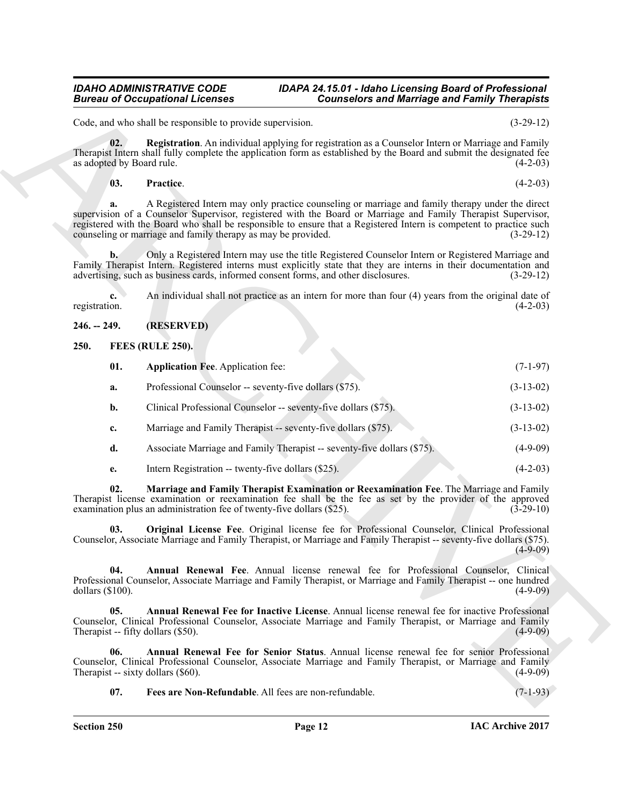# <span id="page-11-11"></span><span id="page-11-10"></span>**03. Practice**. (4-2-03)

# <span id="page-11-0"></span>**246. -- 249. (RESERVED)**

# <span id="page-11-6"></span><span id="page-11-2"></span><span id="page-11-1"></span>**250. FEES (RULE 250).**

| <b>Bureau of Occupational Licenses</b> |                                                                                     | <b>Counselors and Marriage and Family Therapists</b>                                                                                                                                                                                                                                                                                     |             |
|----------------------------------------|-------------------------------------------------------------------------------------|------------------------------------------------------------------------------------------------------------------------------------------------------------------------------------------------------------------------------------------------------------------------------------------------------------------------------------------|-------------|
|                                        | Code, and who shall be responsible to provide supervision.                          |                                                                                                                                                                                                                                                                                                                                          | $(3-29-12)$ |
| 02.<br>as adopted by Board rule.       |                                                                                     | Registration. An individual applying for registration as a Counselor Intern or Marriage and Family<br>Therapist Intern shall fully complete the application form as established by the Board and submit the designated fee                                                                                                               | $(4-2-03)$  |
| 03.                                    | Practice.                                                                           |                                                                                                                                                                                                                                                                                                                                          | $(4-2-03)$  |
| a.                                     | counseling or marriage and family therapy as may be provided.                       | A Registered Intern may only practice counseling or marriage and family therapy under the direct<br>supervision of a Counselor Supervisor, registered with the Board or Marriage and Family Therapist Supervisor,<br>registered with the Board who shall be responsible to ensure that a Registered Intern is competent to practice such | $(3-29-12)$ |
| $\mathbf{b}$ .                         | advertising, such as business cards, informed consent forms, and other disclosures. | Only a Registered Intern may use the title Registered Counselor Intern or Registered Marriage and<br>Family Therapist Intern. Registered interns must explicitly state that they are interns in their documentation and                                                                                                                  | $(3-29-12)$ |
| c.<br>registration.                    |                                                                                     | An individual shall not practice as an intern for more than four (4) years from the original date of                                                                                                                                                                                                                                     | $(4-2-03)$  |
| $246. - 249.$                          | (RESERVED)                                                                          |                                                                                                                                                                                                                                                                                                                                          |             |
| 250.                                   | FEES (RULE 250).                                                                    |                                                                                                                                                                                                                                                                                                                                          |             |
| 01.                                    | <b>Application Fee. Application fee:</b>                                            |                                                                                                                                                                                                                                                                                                                                          | $(7-1-97)$  |
| a.                                     | Professional Counselor -- seventy-five dollars (\$75).                              |                                                                                                                                                                                                                                                                                                                                          | $(3-13-02)$ |
| b.                                     | Clinical Professional Counselor -- seventy-five dollars (\$75).                     |                                                                                                                                                                                                                                                                                                                                          | $(3-13-02)$ |
| c.                                     | Marriage and Family Therapist -- seventy-five dollars (\$75).                       |                                                                                                                                                                                                                                                                                                                                          | $(3-13-02)$ |
| d.                                     |                                                                                     | Associate Marriage and Family Therapist -- seventy-five dollars (\$75).                                                                                                                                                                                                                                                                  | $(4-9-09)$  |
| e.                                     | Intern Registration -- twenty-five dollars (\$25).                                  |                                                                                                                                                                                                                                                                                                                                          | $(4-2-03)$  |
| 02.                                    | examination plus an administration fee of twenty-five dollars (\$25).               | Marriage and Family Therapist Examination or Reexamination Fee. The Marriage and Family<br>Therapist license examination or reexamination fee shall be the fee as set by the provider of the approved                                                                                                                                    | $(3-29-10)$ |
| 03.                                    |                                                                                     | Original License Fee. Original license fee for Professional Counselor, Clinical Professional<br>Counselor, Associate Marriage and Family Therapist, or Marriage and Family Therapist -- seventy-five dollars (\$75).                                                                                                                     | $(4-9-09)$  |
| 04.<br>dollars $(\$100)$ .             |                                                                                     | Annual Renewal Fee. Annual license renewal fee for Professional Counselor, Clinical<br>Professional Counselor, Associate Marriage and Family Therapist, or Marriage and Family Therapist -- one hundred                                                                                                                                  | $(4-9-09)$  |
| 05.                                    | Therapist -- fifty dollars (\$50).                                                  | Annual Renewal Fee for Inactive License. Annual license renewal fee for inactive Professional<br>Counselor, Clinical Professional Counselor, Associate Marriage and Family Therapist, or Marriage and Family                                                                                                                             | $(4-9-09)$  |
| 06.                                    | Therapist -- sixty dollars (\$60).                                                  | Annual Renewal Fee for Senior Status. Annual license renewal fee for senior Professional<br>Counselor, Clinical Professional Counselor, Associate Marriage and Family Therapist, or Marriage and Family                                                                                                                                  | $(4-9-09)$  |
|                                        |                                                                                     |                                                                                                                                                                                                                                                                                                                                          |             |

- **d.** Associate Marriage and Family Therapist -- seventy-five dollars (\$75). (4-9-09)
- <span id="page-11-9"></span><span id="page-11-8"></span><span id="page-11-7"></span><span id="page-11-5"></span><span id="page-11-4"></span><span id="page-11-3"></span>**e.** Intern Registration -- twenty-five dollars (\$25). (4-2-03)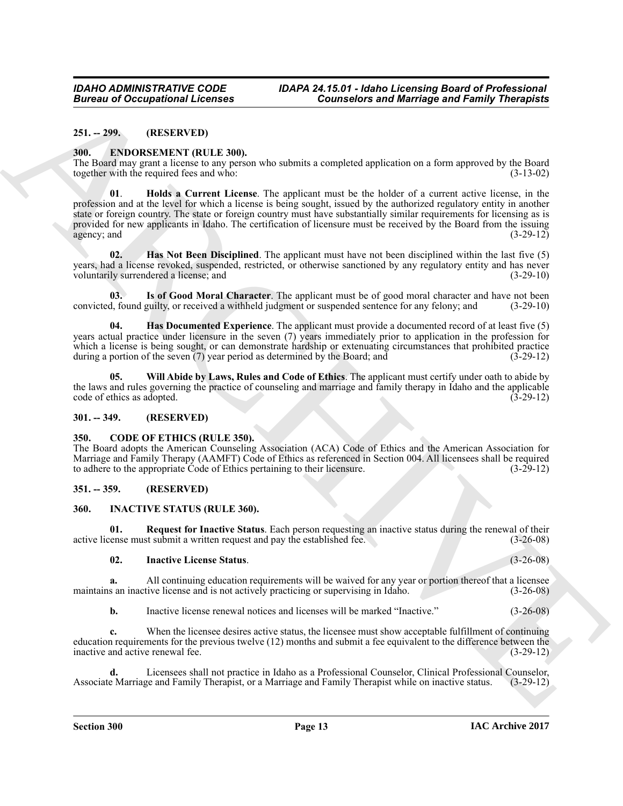# <span id="page-12-0"></span>**251. -- 299. (RESERVED)**

### <span id="page-12-7"></span><span id="page-12-1"></span>**300. ENDORSEMENT (RULE 300).**

<span id="page-12-10"></span>The Board may grant a license to any person who submits a completed application on a form approved by the Board together with the required fees and who: (3-13-02) together with the required fees and who:

**Europea of Occupations I. February Counterbar and Marriage and Family Theoretical<br>
241. - 29. IRENE UNITE NOVA (MARCHIVE TRULE 200).<br>
28. The CHOMBER LIVE TRULE 200, The CHOMBER CONTROL CONTROL CONTROL CONTROL CONTROL CO 01**. **Holds a Current License**. The applicant must be the holder of a current active license, in the profession and at the level for which a license is being sought, issued by the authorized regulatory entity in another state or foreign country. The state or foreign country must have substantially similar requirements for licensing as is provided for new applicants in Idaho. The certification of licensure must be received by the Board from the issuing agency; and (3-29-12) agency; and

<span id="page-12-9"></span>**02. Has Not Been Disciplined**. The applicant must have not been disciplined within the last five (5) years, had a license revoked, suspended, restricted, or otherwise sanctioned by any regulatory entity and has never voluntarily surrendered a license; and (3-29-10) voluntarily surrendered a license; and

<span id="page-12-11"></span>**03. Is of Good Moral Character**. The applicant must be of good moral character and have not been convicted, found guilty, or received a withheld judgment or suspended sentence for any felony; and (3-29-10)

<span id="page-12-8"></span>**04. Has Documented Experience**. The applicant must provide a documented record of at least five (5) years actual practice under licensure in the seven (7) years immediately prior to application in the profession for which a license is being sought, or can demonstrate hardship or extenuating circumstances that prohibited practice during a portion of the seven  $(7)$  year period as determined by the Board; and  $(3-29-12)$ during a portion of the seven  $(7)$  year period as determined by the Board; and

<span id="page-12-12"></span>**05. Will Abide by Laws, Rules and Code of Ethics**. The applicant must certify under oath to abide by the laws and rules governing the practice of counseling and marriage and family therapy in Idaho and the applicable code of ethics as adopted. (3-29-12) code of ethics as adopted.

#### <span id="page-12-2"></span>**301. -- 349. (RESERVED)**

#### <span id="page-12-6"></span><span id="page-12-3"></span>**350. CODE OF ETHICS (RULE 350).**

The Board adopts the American Counseling Association (ACA) Code of Ethics and the American Association for Marriage and Family Therapy (AAMFT) Code of Ethics as referenced in Section 004. All licensees shall be required to adhere to the appropriate Code of Ethics pertaining to their licensure. (3-29-12) to adhere to the appropriate Code of Ethics pertaining to their licensure.

# <span id="page-12-4"></span>**351. -- 359. (RESERVED)**

# <span id="page-12-13"></span><span id="page-12-5"></span>**360. INACTIVE STATUS (RULE 360).**

**01.** Request for Inactive Status. Each person requesting an inactive status during the renewal of their renewal of their renewal submit a written request and pay the established fee.  $(3-26-08)$ active license must submit a written request and pay the established fee.

# <span id="page-12-15"></span><span id="page-12-14"></span>**02. Inactive License Status**. (3-26-08)

**a.** All continuing education requirements will be waived for any year or portion thereof that a licensee s an inactive license and is not actively practicing or supervising in Idaho.  $(3-26-08)$ maintains an inactive license and is not actively practicing or supervising in Idaho.

**b.** Inactive license renewal notices and licenses will be marked "Inactive." (3-26-08)

**c.** When the licensee desires active status, the licensee must show acceptable fulfillment of continuing education requirements for the previous twelve (12) months and submit a fee equivalent to the difference between the inactive and active renewal fee. (3-29-12) inactive and active renewal fee.

**d.** Licensees shall not practice in Idaho as a Professional Counselor, Clinical Professional Counselor, e Marriage and Family Therapist, or a Marriage and Family Therapist while on inactive status. (3-29-12) Associate Marriage and Family Therapist, or a Marriage and Family Therapist while on inactive status.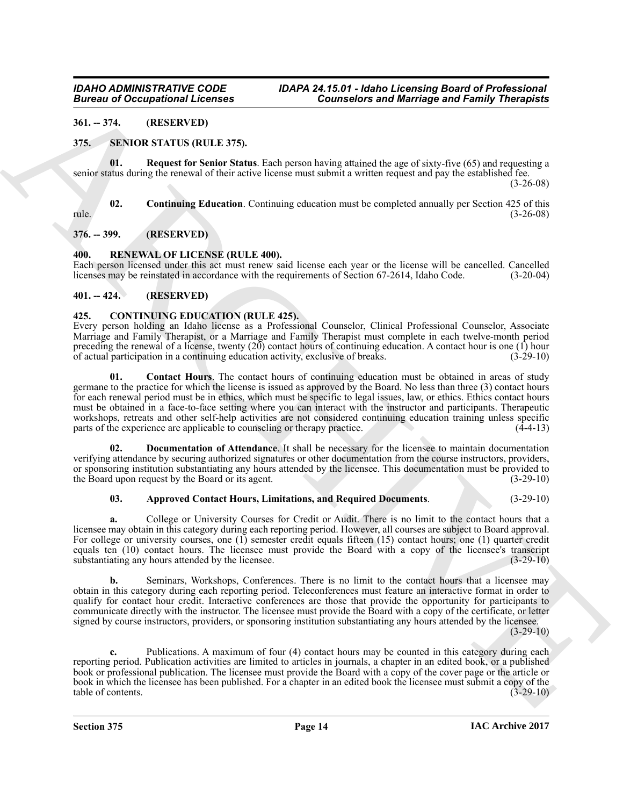# <span id="page-13-0"></span>**361. -- 374. (RESERVED)**

# <span id="page-13-11"></span><span id="page-13-1"></span>**375. SENIOR STATUS (RULE 375).**

<span id="page-13-13"></span>**01. Request for Senior Status**. Each person having attained the age of sixty-five (65) and requesting a senior status during the renewal of their active license must submit a written request and pay the established fee.

(3-26-08)

<span id="page-13-12"></span>**02. Continuing Education**. Continuing education must be completed annually per Section 425 of this rule. (3-26-08)

# <span id="page-13-2"></span>**376. -- 399. (RESERVED)**

# <span id="page-13-10"></span><span id="page-13-3"></span>**400. RENEWAL OF LICENSE (RULE 400).**

Each person licensed under this act must renew said license each year or the license will be cancelled. Cancelled licenses may be reinstated in accordance with the requirements of Section 67-2614, Idaho Code. (3-20-04)

# <span id="page-13-4"></span>**401. -- 424. (RESERVED)**

# <span id="page-13-6"></span><span id="page-13-5"></span>**425. CONTINUING EDUCATION (RULE 425).**

<span id="page-13-8"></span>Every person holding an Idaho license as a Professional Counselor, Clinical Professional Counselor, Associate Marriage and Family Therapist, or a Marriage and Family Therapist must complete in each twelve-month period preceding the renewal of a license, twenty  $(20)$  contact hours of continuing education. A contact hour is one  $(1)$  hour of actual participation in a continuing education activity, exclusive of breaks.  $(3-29-10)$ of actual participation in a continuing education activity, exclusive of breaks.

**Bureau of Occupations I. Feories Connection and Marriage and Farmington and Real of Farming Theoretical<br>
31. -374. (West LATER (WEST 2001) 2003 (Section 2003) 2003 (Section 2003) 2003 (Section 2003) 2003 (Section 2003)<br> 01. Contact Hours**. The contact hours of continuing education must be obtained in areas of study germane to the practice for which the license is issued as approved by the Board. No less than three (3) contact hours for each renewal period must be in ethics, which must be specific to legal issues, law, or ethics. Ethics contact hours must be obtained in a face-to-face setting where you can interact with the instructor and participants. Therapeutic workshops, retreats and other self-help activities are not considered continuing education training unless specific parts of the experience are applicable to counseling or therapy practice. (4-4-13) parts of the experience are applicable to counseling or therapy practice.

**Documentation of Attendance**. It shall be necessary for the licensee to maintain documentation verifying attendance by securing authorized signatures or other documentation from the course instructors, providers, or sponsoring institution substantiating any hours attended by the licensee. This documentation must be provided to the Board upon request by the Board or its agent. (3-29-10) the Board upon request by the Board or its agent.

# <span id="page-13-9"></span><span id="page-13-7"></span>**03. Approved Contact Hours, Limitations, and Required Documents**. (3-29-10)

**a.** College or University Courses for Credit or Audit. There is no limit to the contact hours that a licensee may obtain in this category during each reporting period. However, all courses are subject to Board approval. For college or university courses, one (1) semester credit equals fifteen (15) contact hours; one (1) quarter credit equals ten (10) contact hours. The licensee must provide the Board with a copy of the licensee's transcript substantiating any hours attended by the licensee. (3-29-10) substantiating any hours attended by the licensee.

**b.** Seminars, Workshops, Conferences. There is no limit to the contact hours that a licensee may obtain in this category during each reporting period. Teleconferences must feature an interactive format in order to qualify for contact hour credit. Interactive conferences are those that provide the opportunity for participants to communicate directly with the instructor. The licensee must provide the Board with a copy of the certificate, or letter signed by course instructors, providers, or sponsoring institution substantiating any hours attended by the licensee.  $(3-29-10)$ 

**c.** Publications. A maximum of four (4) contact hours may be counted in this category during each reporting period. Publication activities are limited to articles in journals, a chapter in an edited book, or a published book or professional publication. The licensee must provide the Board with a copy of the cover page or the article or book in which the licensee has been published. For a chapter in an edited book the licensee must submit a copy of the table of contents. (3-29-10) table of contents.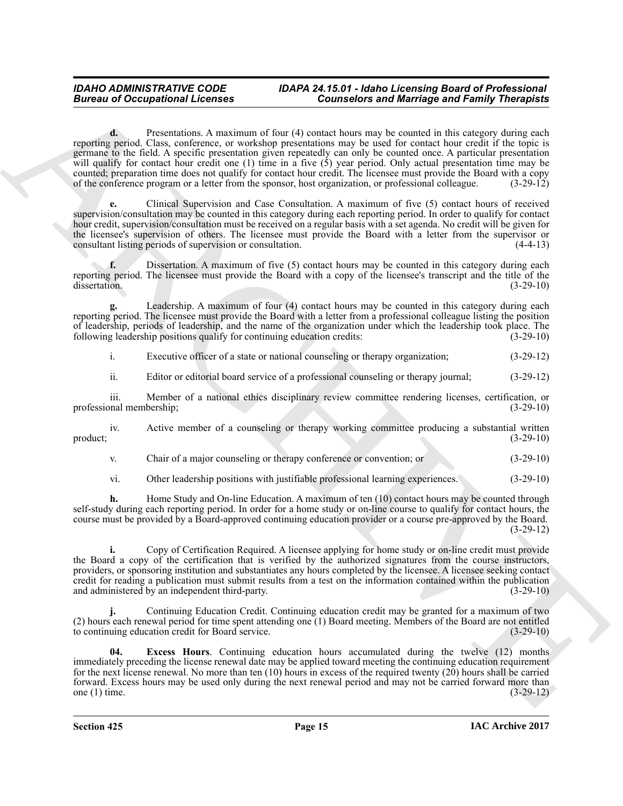**Bureau of Occupations I. Connection and Marriage and Reinford Connection and Architecture Connection and European Connection and European Connection and European Connection and European Connection and European Connection d.** Presentations. A maximum of four (4) contact hours may be counted in this category during each reporting period. Class, conference, or workshop presentations may be used for contact hour credit if the topic is germane to the field. A specific presentation given repeatedly can only be counted once. A particular presentation will qualify for contact hour credit one (1) time in a five (5) year period. Only actual presentation time may be counted; preparation time does not qualify for contact hour credit. The licensee must provide the Board with a copy<br>of the conference program or a letter from the sponsor, host organization, or professional colleague. (3-2 of the conference program or a letter from the sponsor, host organization, or professional colleague.

**e.** Clinical Supervision and Case Consultation. A maximum of five (5) contact hours of received supervision/consultation may be counted in this category during each reporting period. In order to qualify for contact hour credit, supervision/consultation must be received on a regular basis with a set agenda. No credit will be given for the licensee's supervision of others. The licensee must provide the Board with a letter from the supervisor or consultant listing periods of supervision or consultation. (4-4-13) consultant listing periods of supervision or consultation.

**f.** Dissertation. A maximum of five (5) contact hours may be counted in this category during each reporting period. The licensee must provide the Board with a copy of the licensee's transcript and the title of the dissertation. (3-29-10) dissertation. (3-29-10)

**g.** Leadership. A maximum of four (4) contact hours may be counted in this category during each reporting period. The licensee must provide the Board with a letter from a professional colleague listing the position of leadership, periods of leadership, and the name of the organization under which the leadership took place. The following leadership positions qualify for continuing education credits: (3-29-10) following leadership positions qualify for continuing education credits:

i. Executive officer of a state or national counseling or therapy organization; (3-29-12)

ii. Editor or editorial board service of a professional counseling or therapy journal; (3-29-12)

iii. Member of a national ethics disciplinary review committee rendering licenses, certification, or nal membership; (3-29-10) professional membership;

iv. Active member of a counseling or therapy working committee producing a substantial written (3-29-10)  $\text{product};$  (3-29-10)

v. Chair of a major counseling or therapy conference or convention; or (3-29-10)

vi. Other leadership positions with justifiable professional learning experiences. (3-29-10)

**h.** Home Study and On-line Education. A maximum of ten (10) contact hours may be counted through self-study during each reporting period. In order for a home study or on-line course to qualify for contact hours, the course must be provided by a Board-approved continuing education provider or a course pre-approved by the Board. (3-29-12)

**i.** Copy of Certification Required. A licensee applying for home study or on-line credit must provide the Board a copy of the certification that is verified by the authorized signatures from the course instructors, providers, or sponsoring institution and substantiates any hours completed by the licensee. A licensee seeking contact credit for reading a publication must submit results from a test on the information contained within the publication and administered by an independent third-party.

**j.** Continuing Education Credit. Continuing education credit may be granted for a maximum of two (2) hours each renewal period for time spent attending one  $(1)$  Board meeting. Members of the Board are not entitled to continuing education credit for Board service. (3-29-10) to continuing education credit for Board service.

<span id="page-14-0"></span>**04. Excess Hours**. Continuing education hours accumulated during the twelve (12) months immediately preceding the license renewal date may be applied toward meeting the continuing education requirement for the next license renewal. No more than ten  $(10)$  hours in excess of the required twenty  $(20)$  hours shall be carried forward. Excess hours may be used only during the next renewal period and may not be carried forward more than one (1) time.  $(3-29-12)$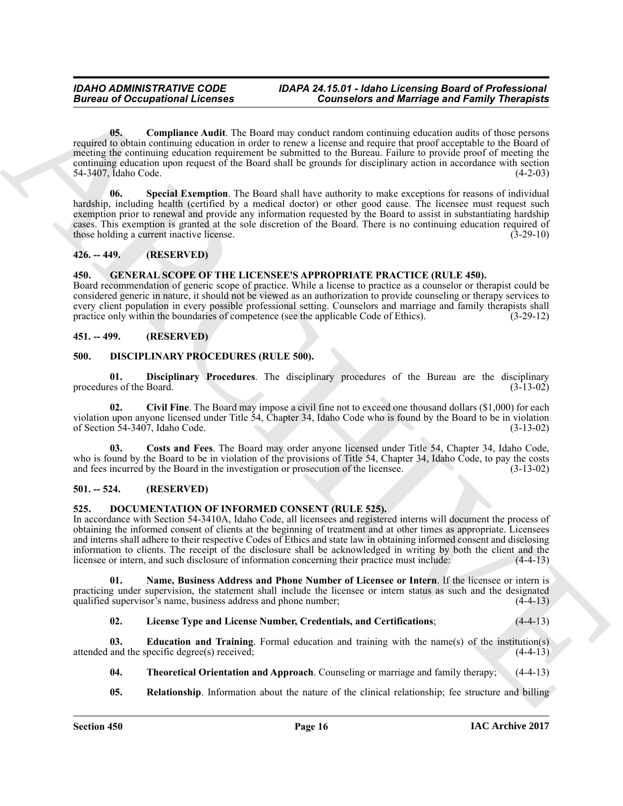**Example 20** Conceptions I. Leonsins Conseiled as a Material of Bernard Conseiled and Family Theoretical<br>
USE Conseiled and the particular control in the base conceptibility in the conceptibility of the system of the cont **05. Compliance Audit**. The Board may conduct random continuing education audits of those persons required to obtain continuing education in order to renew a license and require that proof acceptable to the Board of meeting the continuing education requirement be submitted to the Bureau. Failure to provide proof of meeting the continuing education upon request of the Board shall be grounds for disciplinary action in accordance with section 54-3407, Idaho Code. (4-2-03)

<span id="page-15-7"></span><span id="page-15-6"></span>**06. Special Exemption**. The Board shall have authority to make exceptions for reasons of individual hardship, including health (certified by a medical doctor) or other good cause. The licensee must request such exemption prior to renewal and provide any information requested by the Board to assist in substantiating hardship cases. This exemption is granted at the sole discretion of the Board. There is no continuing education required of those holding a current inactive license. (3-29-10)

# <span id="page-15-0"></span>**426. -- 449. (RESERVED)**

#### <span id="page-15-19"></span><span id="page-15-18"></span><span id="page-15-1"></span>**450. GENERAL SCOPE OF THE LICENSEE'S APPROPRIATE PRACTICE (RULE 450).**

Board recommendation of generic scope of practice. While a license to practice as a counselor or therapist could be considered generic in nature, it should not be viewed as an authorization to provide counseling or therapy services to every client population in every possible professional setting. Counselors and marriage and family therapists shall practice only within the boundaries of competence (see the applicable Code of Ethics). (3-29-12) practice only within the boundaries of competence (see the applicable Code of Ethics).

# <span id="page-15-2"></span>**451. -- 499. (RESERVED)**

### <span id="page-15-8"></span><span id="page-15-3"></span>**500. DISCIPLINARY PROCEDURES (RULE 500).**

<span id="page-15-11"></span>**01. Disciplinary Procedures**. The disciplinary procedures of the Bureau are the disciplinary es of the Board. (3-13-02) procedures of the Board.

<span id="page-15-9"></span>**02. Civil Fine**. The Board may impose a civil fine not to exceed one thousand dollars (\$1,000) for each violation upon anyone licensed under Title 54, Chapter 34, Idaho Code who is found by the Board to be in violation of Section 54-3407, Idaho Code. (3-13-02) of Section  $54-3407$ , Idaho Code.

<span id="page-15-10"></span>**03. Costs and Fees**. The Board may order anyone licensed under Title 54, Chapter 34, Idaho Code, who is found by the Board to be in violation of the provisions of Title 54, Chapter 34, Idaho Code, to pay the costs and fees incurred by the Board in the investigation or prosecution of the licensee. (3-13-02) and fees incurred by the Board in the investigation or prosecution of the licensee.

# <span id="page-15-4"></span>**501. -- 524. (RESERVED)**

#### <span id="page-15-12"></span><span id="page-15-5"></span>**525. DOCUMENTATION OF INFORMED CONSENT (RULE 525).**

In accordance with Section 54-3410A, Idaho Code, all licensees and registered interns will document the process of obtaining the informed consent of clients at the beginning of treatment and at other times as appropriate. Licensees and interns shall adhere to their respective Codes of Ethics and state law in obtaining informed consent and disclosing information to clients. The receipt of the disclosure shall be acknowledged in writing by both the client and the licensee or intern, and such disclosure of information concerning their practice must include:  $(4-4-13)$ licensee or intern, and such disclosure of information concerning their practice must include:

**01. Name, Business Address and Phone Number of Licensee or Intern**. If the licensee or intern is practicing under supervision, the statement shall include the licensee or intern status as such and the designated qualified supervisor's name, business address and phone number; (4-4-13)

# <span id="page-15-15"></span><span id="page-15-14"></span><span id="page-15-13"></span>**02. License Type and License Number, Credentials, and Certifications**; (4-4-13)

**03. Education and Training**. Formal education and training with the name(s) of the institution(s) and the specific degree(s) received; (4-4-13) attended and the specific degree $(s)$  received;

- <span id="page-15-17"></span>**04. Theoretical Orientation and Approach**. Counseling or marriage and family therapy; (4-4-13)
- <span id="page-15-16"></span>**05.** Relationship. Information about the nature of the clinical relationship; fee structure and billing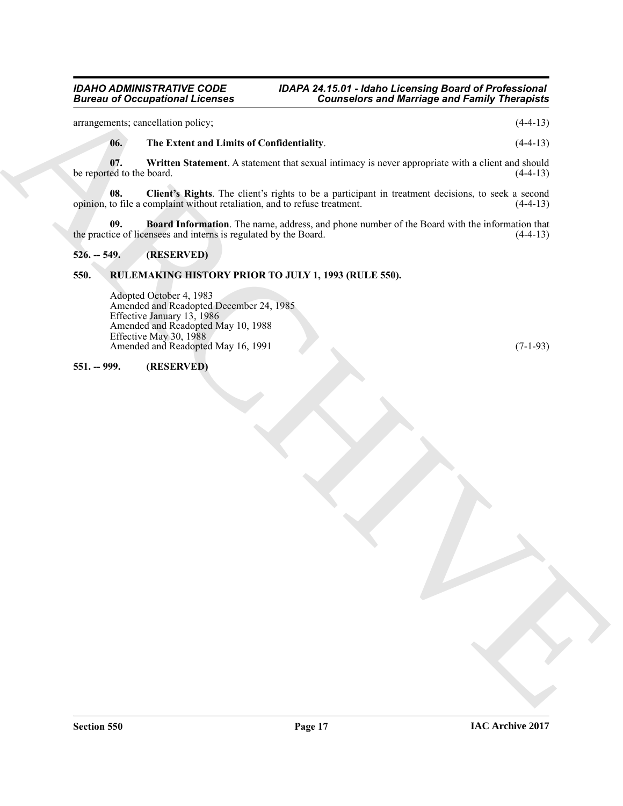arrangements; cancellation policy; (4-4-13)

# <span id="page-16-6"></span><span id="page-16-5"></span><span id="page-16-4"></span>**06. The Extent and Limits of Confidentiality**. (4-4-13)

**07.** Written Statement. A statement that sexual intimacy is never appropriate with a client and should ed to the board. (4-4-13) be reported to the board.

**Bureau of Occupations I Licenses**<br>
strangenting reaches and Marchives of Barriston in the U-11<br>
strangenting vector in Portugal and Archives and Human Schwarz and Human Schwarz and Schwarz and Archives and Archives and A **08.** Client's Rights. The client's rights to be a participant in treatment decisions, to seek a second to file a complaint without retaliation, and to refuse treatment. (4-4-13) opinion, to file a complaint without retaliation, and to refuse treatment.

<span id="page-16-3"></span>**09. Board Information**. The name, address, and phone number of the Board with the information that ice of licensees and interns is regulated by the Board. (4-4-13) the practice of licensees and interns is regulated by the Board.

# <span id="page-16-0"></span>**526. -- 549. (RESERVED)**

# <span id="page-16-1"></span>**550. RULEMAKING HISTORY PRIOR TO JULY 1, 1993 (RULE 550).**

Adopted October 4, 1983 Amended and Readopted December 24, 1985 Effective January 13, 1986 Amended and Readopted May 10, 1988 Effective May 30, 1988 Amended and Readopted May 16, 1991 (7-1-93)

## <span id="page-16-2"></span>**551. -- 999. (RESERVED)**